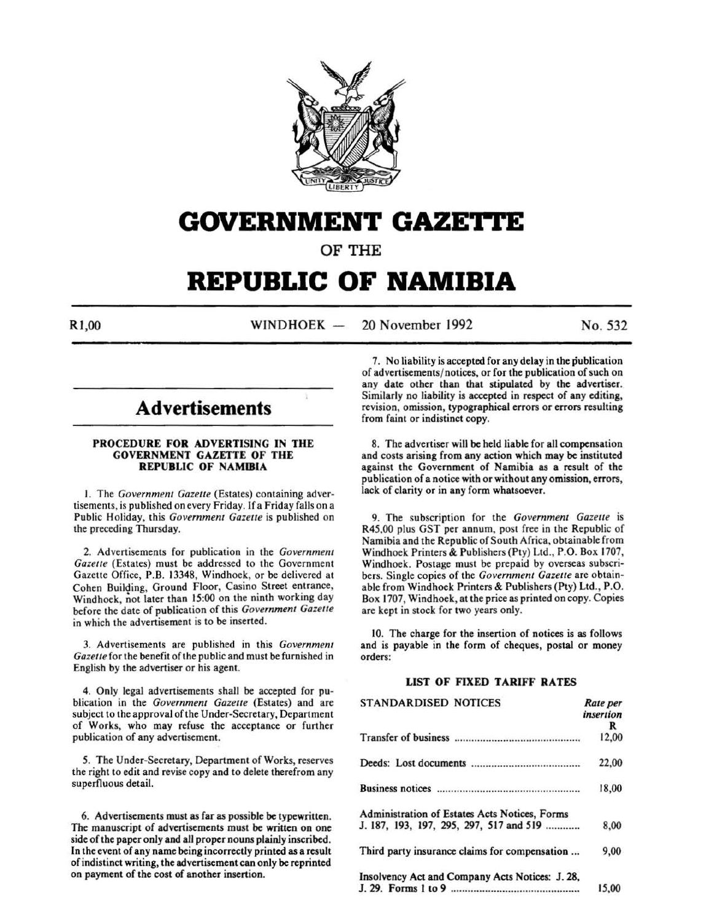

# **GOVERNMENT GAZETTE**

OF THE

# **REPUBLIC OF NAMIBIA**

R<sub>1,00</sub> WINDHOEK - 20 November 1992 No. 532

# **Advertisements**

# PROCEDURE FOR ADVERTISING IN THE GOVERNMENT GAZETTE OF THE REPUBLIC OF NAMIBIA

1. The *Government Gazette* (Estates) containing advertisements, is published on every Friday. lf a Friday falls on a Public Holiday, this *Government Gazette* is published on the preceding Thursday.

2. Advertisements for publication in the *Government Gazette* (Estates) must be addressed to the Government Gazette Office, P.B. 13348, Windhoek, or be delivered at Cohen Building, Ground Floor, Casino Street entrance, Windhoek, not later than 15:00 on the ninth working day before the date of publication of this *Government Gazette*  in which the advertisement is to be inserted.

3. Advertisements are published in this *Government Gazette* for the benefit of the public and must be furnished in English by the advertiser or his agent.

4. Only legal advertisements shall be accepted for publication in the *Government Gazette* (Estates) and are subject to the approval of the Under-Secretary, Department of Works, who may refuse the acceptance or further publication of any advertisement.

*5.* The Under-Secretary, Department of Works, reserves the right to edit and revise copy and to delete therefrom any superfluous detail.

6. Advertisements must as far as possible be typewritten. The manuscript of advertisements must be written on one side of the paper only and all proper nouns plainly inscribed. In the event of any name being incorrectly printed as a result of indistinct writing, the advertisement can only be reprinted on payment of the cost of another insertion.

7. No liability is accepted for any delay in the publication of advertisements/ notices, or for the publication of such on any date other than that stipulated by the advertiser. Similarly no liability is accepted in respect of any editing, revision, omission, typographical errors or errors resulting from faint or indistinct copy.

8. The advertiser will be held liable for all compensation and costs arising from any action which may be instituted against the Government of Namibia as a result of the publication of a notice with or without any omission, errors, lack of clarity or in any form whatsoever.

9. The subscription for the *Government Gazette* is R45,00 plus GST per annum, post free in the Republic of Namibia and the Republic of South Africa, obtainable from Windhoek Printers & Publishers (Pty) Ltd., P.O. Box 1707, Windhoek. Postage must be prepaid by overseas subscribers. Single copies of the *Government Gazette* are obtainable from Windhoek Printers & Publishers (Pty) Ltd., P.O. Box 1707, Windhoek, at the price as printed on copy. Copies are kept in stock for two years only.

10. The charge for the insertion of notices is as follows and is payable in the form of cheques, postal or money orders:

# LIST OF FIXED TARIFF RATES

| <b>STANDARDISED NOTICES</b>                     | Rate per<br>insertion |
|-------------------------------------------------|-----------------------|
|                                                 | R                     |
|                                                 | 12,00                 |
|                                                 | 22,00                 |
|                                                 | 18,00                 |
| Administration of Estates Acts Notices, Forms   |                       |
| J. 187, 193, 197, 295, 297, 517 and 519         | 8.00                  |
| Third party insurance claims for compensation   | 9,00                  |
| Insolvency Act and Company Acts Notices: J. 28, |                       |
|                                                 | 15,00                 |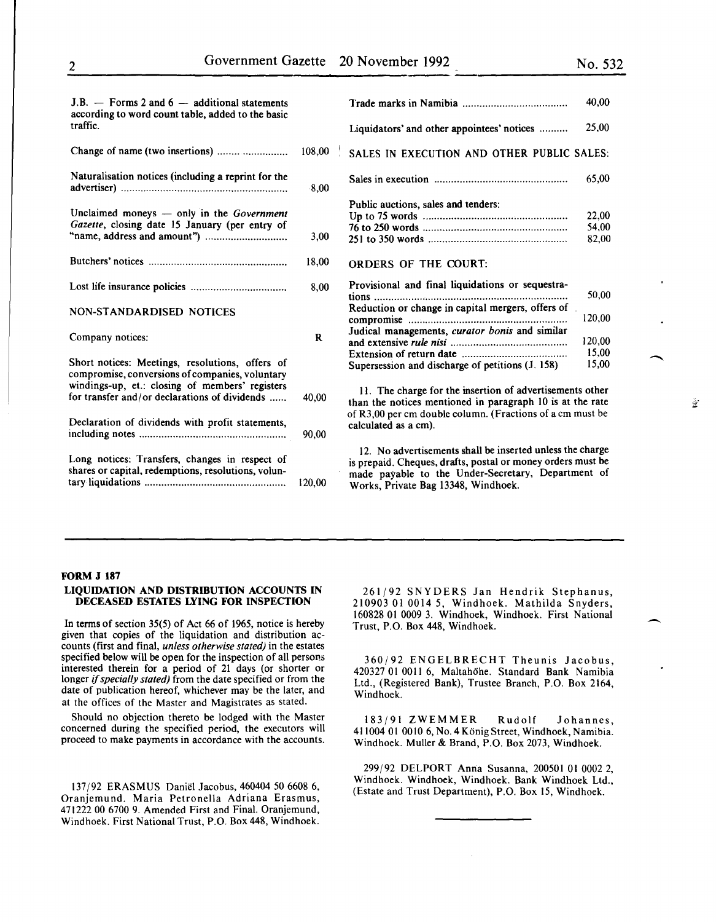全

| $J.B.$ – Forms 2 and 6 – additional statements<br>according to word count table, added to the basic   |              |                                                                                                                                                                                                                       | 40.00                   |
|-------------------------------------------------------------------------------------------------------|--------------|-----------------------------------------------------------------------------------------------------------------------------------------------------------------------------------------------------------------------|-------------------------|
| traffic.                                                                                              |              | Liquidators' and other appointees' notices                                                                                                                                                                            | 25,00                   |
| Change of name (two insertions)                                                                       | 108.00       | SALES IN EXECUTION AND OTHER PUBLIC SALES:                                                                                                                                                                            |                         |
| Naturalisation notices (including a reprint for the                                                   | 8,00         |                                                                                                                                                                                                                       | 65,00                   |
| Unclaimed moneys $-$ only in the Government<br>Gazette, closing date 15 January (per entry of         | 3,00         | Public auctions, sales and tenders:                                                                                                                                                                                   | 22,00<br>54,00<br>82,00 |
|                                                                                                       | 18,00        | <b>ORDERS OF THE COURT:</b>                                                                                                                                                                                           |                         |
|                                                                                                       | 8,00         | Provisional and final liquidations or sequestra-                                                                                                                                                                      | 50,00                   |
| <b>NON-STANDARDISED NOTICES</b>                                                                       |              | Reduction or change in capital mergers, offers of                                                                                                                                                                     | 120,00                  |
| Company notices:                                                                                      | $\mathbf{R}$ | Judical managements, curator bonis and similar                                                                                                                                                                        | 120.00                  |
| Short notices: Meetings, resolutions, offers of<br>compromise, conversions of companies, voluntary    |              | Supersession and discharge of petitions (J. 158)                                                                                                                                                                      | 15.00<br>15,00          |
| windings-up, et.: closing of members' registers<br>for transfer and/or declarations of dividends      | 40,00        | 11. The charge for the insertion of advertisements other<br>than the notices mentioned in paragraph 10 is at the rate                                                                                                 |                         |
| Declaration of dividends with profit statements,                                                      | 90.00        | of R3,00 per cm double column. (Fractions of a cm must be<br>calculated as a cm).                                                                                                                                     |                         |
| Long notices: Transfers, changes in respect of<br>shares or capital, redemptions, resolutions, volun- | 120,00       | 12. No advertisements shall be inserted unless the charge<br>is prepaid. Cheques, drafts, postal or money orders must be<br>made payable to the Under-Secretary, Department of<br>Works, Private Bag 13348, Windhoek. |                         |

#### FORM J 187

#### LIQUIDATION AND DISTRIBUTION ACCOUNTS IN DECEASED ESTATES LYING FOR INSPECTION

In terms of section 35(5) of Act 66 of 1965, notice is hereby given that copies of the liquidation and distribution accounts (first and final, *unless otherwise stated)* in the estates specified below will be open for the inspection of all persons interested therein for a period of 21 days (or shorter or longer if *specially stated)* from the date specified or from the date of publication hereof, whichever may be the later, and at the offices of the Master and Magistrates as stated.

Should no objection thereto be lodged with the Master concerned during the specified period, the executors will proceed to make payments in accordance with the accounts.

137/92 ERASMUS Daniel Jacobus, 460404 *50* 6608 6, Oranjemund. Maria Petronella Adriana Erasmus, 471222 00 6700 9. Amended First and Final. Oranjemund, Windhoek. First National Trust, P.O. Box 448, Windhoek.

261/92 SNYDERS Jan Hendrik Stephanus, 210903 01 0014 *5,* Windhoek. Mathilda Snyders, 160828 01 0009 3. Windhoek, Windhoek. First National Trust, P.O. Box 448, Windhoek.

360/92 ENGELBRECHT Theunis Jacobus, 420327 01 0011 6, Maltahohe. Standard Bank Namibia Ltd., (Registered Bank), Trustee Branch, P.O. Box 2164, Windhoek.

183/91 ZWEMMER Rudolf Johannes, 411004 01 0010 6, No.4 Konig Street, Windhoek, Namibia. Windhoek. Muller & Brand, P.O. Box 2073, Windhoek.

299/92 DELPORT Anna Susanna, 200501 01 0002 2, Windhoek. Windhoek, Windhoek. Bank Windhoek Ltd., (Estate and Trust Department), P.O. Box 15, Windhoek.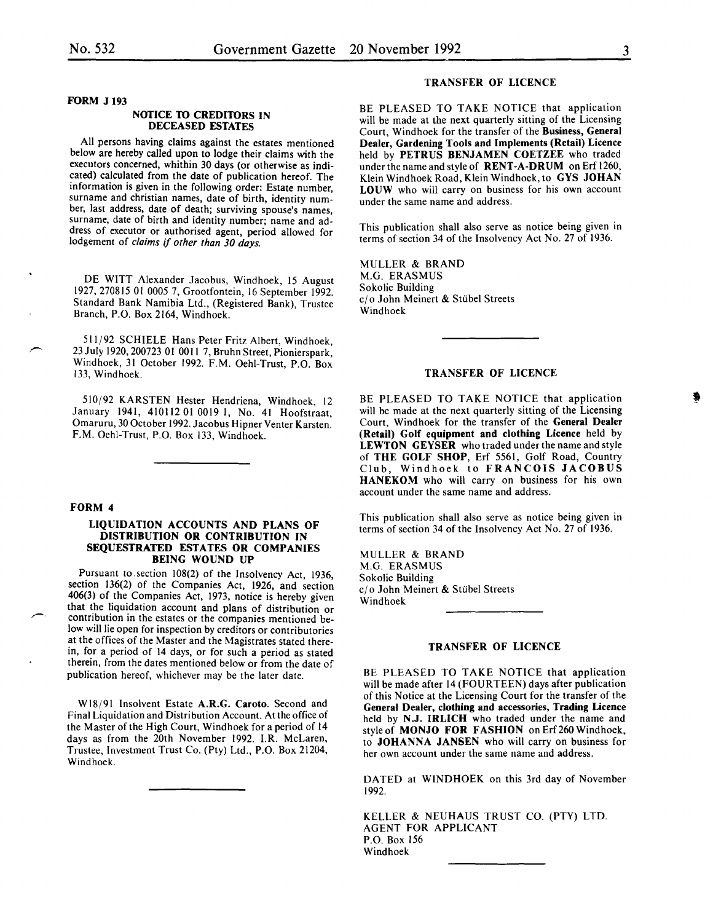#### FORM J 193

#### NOTICE TO CREDITORS IN DECEASED ESTATES

All persons having claims against the estates mentioned below are hereby called upon to lodge their claims with the executors concerned, whithin 30 days (or otherwise as indicated) calculated from the date of publication hereof. The information is given in the following order: Estate number, surname and christian names, date of birth, identity number, last address, date of death; surviving spouse's names, surname, date of birth and identity number; name and address of executor or authorised agent, period allowed for lodgement of *claims* if *other than 30 days.* 

DE WITT Alexander Jacobus, Windhoek, 15 August 1927, 270815 01 0005 7, Grootfontein, 16 September 1992. Standard Bank Namibia Ltd., (Registered Bank), Trustee Branch, P.O. Box 2164, Windhoek.

511/92 SCHIELE Hans Peter Fritz Albert, Windhoek, 23 July 1920, 200723 01 0011 7, Bruhn Street, Pionierspark, Windhoek, 31 October 1992. F.M. Oehl-Trust, P.O. Box 133, Windhoek.

510/92 KARSTEN Hester Hendriena, Windhoek, 12 January 1941, 410112 OJ 0019 I, No. 41 Hoofstraat, Omaruru, 30 October 1992. Jacobus Hipner Venter Karsten. F.M. Oehi-Trust, P.O. Box 133, Windhoek.

## FORM 4

# LIQUIDATION ACCOUNTS AND PLANS OF DISTRIBUTION OR CONTRIBUTION IN SEQUESTRATED ESTATES OR COMPANIES BEING WOUND UP

Pursuant to. section 108(2) of the Insolvency Act, 1936, section 136(2) of the Companies Act, 1926, and section 406(3) of the Companies Act, 1973, notice is hereby given contribution in the estates or the companies mentioned below will lie open for inspection by creditors or contributories at the offices of the Master and the Magistrates stated therein, for a period of 14 days, or for such a period as stated therein, from the dates mentioned below or from the date of publication hereof, whichever may be the later date.

Wl8/91 Insolvent Estate A.R.G. Caroto. Second and Final Liquidation and Distribution Account. At the office of the Master of the High Court, Windhoek for a period of 14 days as from the 20th November 1992. I.R. McLaren, Trustee, Investment Trust Co. (Pty) Ltd., P.O. Box 21204, Windhoek.

#### TRANSFER OF LICENCE

BE PLEASED TO TAKE NOTICE that application will be made at the next quarterly sitting of the Licensing Court, Windhoek for the transfer of the Business, General Dealer, Gardening Tools and Implements (Retail) Licence held by PETRUS BENJAMEN COETZEE who traded under the name and style of **RENT-A-DRUM** on Erf 1260, Klein Windhoek Road, Klein Windhoek, to GYS JOHAN LOUW who will carry on business for his own account under the same name and address.

This publication shall also serve as notice being given in terms of section 34 of the Insolvency Act No. 27 of 1936.

MULLER & BRAND M.G. ERASMUS Sokolic Building c/o John Meinert & Stübel Streets Windhoek

# TRANSFER OF LICENCE

BE PLEASED TO TAKE NOTICE that application will be made at the next quarterly sitting of the Licensing Court. Windhoek for the transfer of the General Dealer (Retall) Golf equipment and clothing Licence held by LEWTON GEYSER who traded under the name and style of THE GOLF SHOP, Erf 5561, Golf Road, Country Club, Windhoek to FRANCOIS JACOBUS HANEKOM who will carry on business for his own account under the same name and address.

This publication shall also serve as notice being given in terms of section 34 of the Insolvency Act No. 27 of 1936.

MULLER & BRAND M.G. ERASMUS Sokolic Building c/o John Meinert & Stübel Streets Windhoek

#### TRANSFER OF LICENCE

BE PLEASED TO TAKE NOTICE that application will be made after 14 (FOURTEEN) days after publication of this Notice at the Licensing Court for the transfer of the General Dealer, clothing and accessories, Trading Licence held by N.J. IRLICH who traded under the name and style of MONJO FOR FASHION on Erf260 Windhoek, to JOHANNA JANSEN who will carry on business for her own account under the same name and address.

DATED at WINDHOEK on this 3rd day of November 1992.

KELLER & NEUHAUS TRUST CO. (PTY) LTD. AGENT FOR APPLICANT P.O. Box 156 Windhoek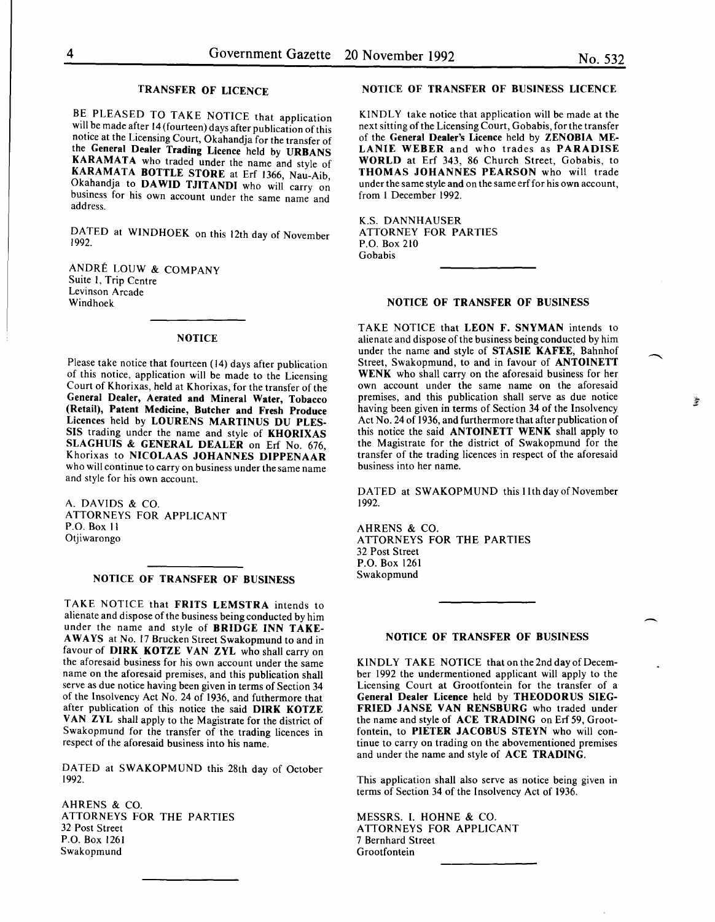爹

#### TRANSFER OF LICENCE

BE PLEASED TO TAKE NOTICE that application will be made after 14 (fourteen) days after publication of this notice at the Licensing Court, Okahandja for the transfer of the General Dealer Trading Licence held by URBANS KARAMATA who traded under the name and style of KARAMATA BOTTLE STORE at Erf 1366, Nau-Aib, Okahandja to DAWID TJITANDI who will carry on business for his own account under the same name and address.

DATED at WINDHOEK on this 12th day of November 1992.

ANDRE LOUW & COMPANY Suite I, Trip Centre Levinson Arcade Windhoek

#### **NOTICE**

Please take notice that fourteen (14) days after publication of this notice, application will be made to the Licensing Court of Khorixas, held at Khorixas, for the transfer of the General Dealer, Aerated and Mineral Water, Tobacco (Retail), Patent Medicine, Butcher and Fresh Produce Licences held by LOURENS MARTINUS DU PLES-SIS trading under the name and style of KHORIXAS SLAGHUIS & GENERAL DEALER on Erf No. 676. Khorixas to NICOLAAS JOHANNES DIPPENAAR who will continue to carry on business under the same name and style for his own account.

A. DAVIDS & CO. ATTORNEYS FOR APPLICANT P.O. Box II Otiiwarongo

# NOTICE OF TRANSFER OF BUSINESS

TAKE NOTICE that FRITS LEMSTRA intends to alienate and dispose of the business being conducted by him under the name and style of BRIDGE INN TAKE-A WAYS at No. 17 Brucken Street Swakopmund to and in favour of DIRK KOTZE VAN ZYL who shall carry on the aforesaid business for his own account under the same name on the aforesaid premises, and this publication shall serve as due notice having been given in terms of Section 34 of the Insolvency Act No. 24 of 1936, and futhermore that after publication of this notice the said DIRK KOTZE VAN ZYL shall apply to the Magistrate for the district of Swakopmund for the transfer of the trading licences in respect of the aforesaid business into his name.

DATED at SWAKOPMUND this 28th day of October 1992.

AHRENS & CO. ATTORNEYS FOR THE PARTIES 32 Post Street P.O. Box 1261 Swakopmund

# NOTICE OF TRANSFER OF BUSINESS LICENCE

KINDLY take notice that application will be made at the next sitting of the Licensing Court, Gobabis, for the transfer of the General Dealer's Licence held by ZENOBIA ME-LANIE WEBER and who trades as PARADISE WORLD at Erf 343, 86 Church Street, Gobabis, to THOMAS JOHANNES PEARSON who will trade under the same style and on the same erffor his own account, from I December 1992.

K.S. DANNHAUSER ATTORNEY FOR PARTIES P.O. Box 210 Gobabis

#### NOTICE OF TRANSFER OF BUSINESS

TAKE NOTICE that LEON F. SNYMAN intends to alienate and dispose of the business being conducted by him under the name and style of STASIE KAFEE, Bahnhof Street, Swakopmund, to and in favour of ANTOINETT WENK who shall carry on the aforesaid business for her own account under the same name on the aforesaid premises, and this publication shall serve as due notice having been given in terms of Section 34 of the Insolvency Act No. 24 of 1936, and furthermore that after publication of this notice the said ANTOINETT WENK shall apply to the Magistrate for the district of Swakopmund for the transfer of the trading licences in respect of the aforesaid business into her name.

DATED at SWAKOPMUND this 11th day of November 1992.

AHRENS & CO. ATTORNEYS FOR THE PARTIES 32 Post Street P.O. Box 1261 Swakopmund

# NOTICE OF TRANSFER OF BUSINESS

KINDLY TAKE NOTICE that on the 2nd day of December 1992 the undermentioned applicant will apply to the Licensing Court at Grootfontein for the transfer of a General Dealer Licence held by THEODORUS SIEG-FRIED JANSE VAN RENSBURG who traded under the name and style of ACE TRADING on Erf 59, Grootfontein, to PIETER JACOBUS STEYN who will continue to carry on trading on the abovementioned premises and under the name and style of ACE TRADING.

This application shall also serve as notice being given in terms of Section 34 of the Insolvency Act of 1936.

MESSRS. I. HOHNE & CO. ATTORNEYS FOR APPLICANT 7 Bernhard Street Grootfontein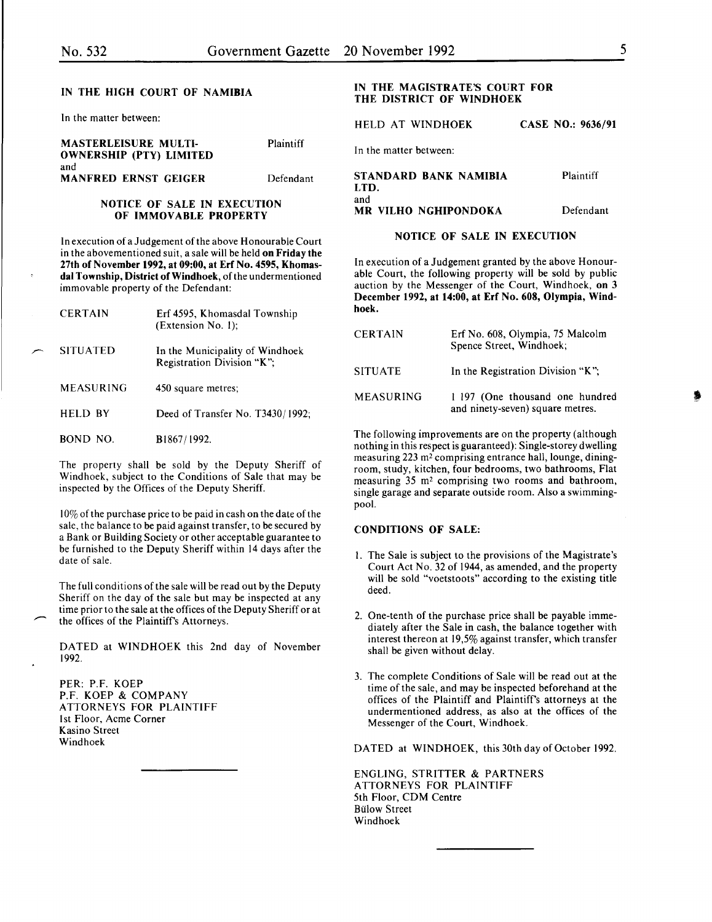#### IN THE HIGH COURT OF NAMIBIA

In the matter between:

| <b>MASTERLEISURE MULTI-</b><br><b>OWNERSHIP (PTY) LIMITED</b> | Plaintiff | In the matter between:             |           |
|---------------------------------------------------------------|-----------|------------------------------------|-----------|
| and<br><b>MANFRED ERNST GEIGER</b>                            | Defendant | STANDARD BANK NAMIBIA<br>LTD.      | Plaintiff |
| NOTICE OF SALE IN EXECUTION<br>OF IMMOVABLE PROPERTY          |           | and<br><b>MR VILHO NGHIPONDOKA</b> | Defendant |

# In execution of a Judgement of the above Honourable Court in the abovementioned suit, a sale will be held on Friday the

27th of November 1992, at 09:00, at Erf No. 4595, Khomasdal Township, District of Windhoek, of the undermentioned immovable property of the Defendant:

| <b>CERTAIN</b>  | Erf 4595, Khomasdal Township<br>(Extension No. 1);            |
|-----------------|---------------------------------------------------------------|
| <b>SITUATED</b> | In the Municipality of Windhoek<br>Registration Division "K"; |
| MEASURING       | 450 square metres;                                            |
| HELD BY         | Deed of Transfer No. T3430/1992;                              |
| BOND NO.        | B1867/1992.                                                   |

The property shall be sold by the Deputy Sheriff of Windhoek, subject to the Conditions of Sale that may be inspected by the Offices of the Deputy Sheriff.

I 0% of the purchase price to be paid in cash on the date of the sale, the balance to be paid against transfer, to be secured by a Bank or Building Society or other acceptable guarantee to be furnished to the Deputy Sheriff within 14 days after the date of sale.

The full conditions of the sale will be read out by the Deputy Sheriff on the day of the sale but may be inspected at any time prior to the sale at the offices of the Deputy Sheriff or at the offices of the Plaintiff's Attorneys.

DATED at WINDHOEK this 2nd day of November 1992.

PER: P.F. KOEP P.F. KOEP & COMPANY ATTORNEYS FOR PLAINTIFF 1st Floor, Acme Corner Kasino Street Windhoek

# IN THE MAGISTRATE'S COURT FOR THE DISTRICT OF WINDHOEK

HELD AT WINDHOEK CASE NO.: 9636/91

|      | STANDARD BANK NAMIBIA | <b>Plaintiff</b> |
|------|-----------------------|------------------|
| LTD. |                       |                  |
| and  |                       |                  |
|      | MR VILHO NGHIPONDOKA  | Defendant        |

# NOTICE OF SALE IN EXECUTION

In execution of a Judgement granted by the above Honourable Court, the following property will be sold by public auction by the Messenger of the Court, Windhoek, on 3 December 1992, at 14:00, at Erf No. 608, Olympia, Windhoek.

| <b>CERTAIN</b>   | Erf No. 608, Olympia, 75 Malcolm<br>Spence Street, Windhoek;        |  |
|------------------|---------------------------------------------------------------------|--|
| <b>SITUATE</b>   | In the Registration Division "K":                                   |  |
| <b>MEASURING</b> | 1 197 (One thousand one hundred<br>and ninety-seven) square metres. |  |

The following improvements are on the property (although nothing in this respect is guaranteed): Single-storey dwelling measuring 223 m<sup>2</sup> comprising entrance hall, lounge, diningroom, study, kitchen, four bedrooms, two bathrooms, Flat measuring 35 m2 comprising two rooms and bathroom, single garage and separate outside room. Also a swimmingpool.

# CONDITIONS OF SALE:

- I. The Sale is subject to the provisions of the Magistrate's Court Act No. 32 of 1944, as amended, and the property will be sold "voetstoots" according to the existing title deed.
- 2. One-tenth of the purchase price shall be payable immediately after the Sale in cash, the balance together with interest thereon at 19,5% against transfer, which transfer shall be given without delay.
- 3. The complete Conditions of Sale will be read out at the time of the sale, and may be inspected beforehand at the offices of the Plaintiff and Plaintiff's attorneys at the undermentioned address, as also at the offices of the Messenger of the Court, Windhoek.

DATED at WINDHOEK, this 30th day of October 1992.

ENGLING, STRITTER & PARTNERS ATTORNEYS FOR PLAINTIFF 5th Floor, CDM Centre Bulow Street Windhoek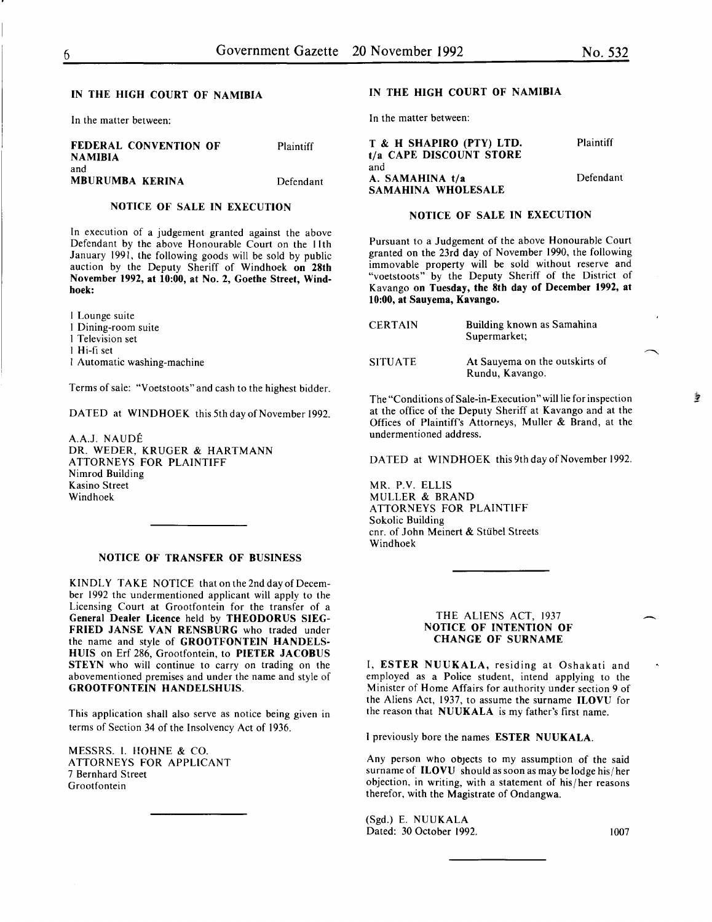# IN THE HIGH COURT OF NAMIBIA

In the matter between:

| FEDERAL CONVENTION OF<br>NAMIBIA | Plaintiff |
|----------------------------------|-----------|
| and<br>MBURUMBA KERINA           | Defendant |

#### NOTICE OF SALE IN EXECUTION

In execution of a judgement granted against the above Defendant by the above Honourable Court on the lith January 1991, the following goods will be sold by public auction by the Deputy Sheriff of Windhoek on 28th November 1992, at 10:00, at No.2, Goethe Street, Windhoek:

I Lounge suite I Dining-room suite I Television set I Hi-fi set I Automatic washing-machine

Terms of sale: "Voetstoots" and cash to the highest bidder.

DATED at WINDHOEK this 5th day of November 1992.

A.A.J. NAUDE DR. WEDER, KRUGER & HARTMANN ATTORNEYS FOR PLAINTIFF Nimrod Building Kasino Street Windhoek

#### NOTICE OF TRANSFER OF BUSINESS

KINDLY TAKE NOTICE that on the 2nd day of December 1992 the undermentioned applicant will apply to the Licensing Court at Grootfontein for the transfer of a General Dealer Licence held by THEODORUS SIEG-FRIED JANSE VAN RENSBURG who traded under the name and style of GROOTFONTEIN HANDELS-HUIS on Erf 286, Grootfontein, to PIETER JACOBUS STEYN who will continue to carry on trading on the abovementioned premises and under the name and style of GROOTFONTEIN HANDELSHUIS.

This application shall also serve as notice being given in terms of Section 34 of the Insolvency Act of 1936.

MESSRS. I. HOHNE & CO. ATTORNEYS FOR APPLICANT 7 Bernhard Street Grootfontein

#### IN THE HIGH COURT OF NAMIBIA

In the matter between:

| T & H SHAPIRO (PTY) LTD.<br>t/a CAPE DISCOUNT STORE | Plaintiff |
|-----------------------------------------------------|-----------|
| and<br>A. SAMAHINA t/a                              | Defendant |
| SAMAHINA WHOLESALE                                  |           |

# NOTICE OF SALE IN EXECUTION

Pursuant to a Judgement of the above Honourable Court granted on the 23rd day of November 1990, the following immovable property will be sold without reserve and "voetstoots" by the Deputy Sheriff of the District of Kavango on Tuesday, the 8th day of December 1992, at 10:00, at Sauyema, Kavango.

| <b>CERTAIN</b> | Building known as Samahina<br>Supermarket;        |
|----------------|---------------------------------------------------|
| <b>SITUATE</b> | At Sauvema on the outskirts of<br>Rundu, Kavango. |

The "Conditions of Sale-in-Execution" will lie for inspection at the office of the Deputy Sheriff at Kavango and at the Offices of Plaintiff's Attorneys, Muller & Brand, at the undermentioned address.

DATED at WINDHOEK this 9th day of November 1992.

MR. P.V. ELLIS MULLER & BRAND ATTORNEYS FOR PLAINTIFF Sokolic Building cnr. of John Meinert & Stiibel Streets Windhoek

#### THE ALIENS ACT, 1937 NOTICE OF INTENTION OF CHANGE OF SURNAME

I, ESTER NUUKALA, residing at Oshakati and employed as a Police student, intend applying to the Minister of Home Affairs for authority under section 9 of the Aliens Act, 1937, to assume the surname ILOVU for the reason that NUUKALA is my father's first name.

I previously bore the names ESTER NUUKALA.

Any person who objects to my assumption of the said surname of ILOVU should as soon as may be lodge his/ her objection, in writing, with a statement of his/her reasons therefor, with the Magistrate of Ondangwa.

(Sgd.) E. NUUKALA Dated: 30 October 1992. 1007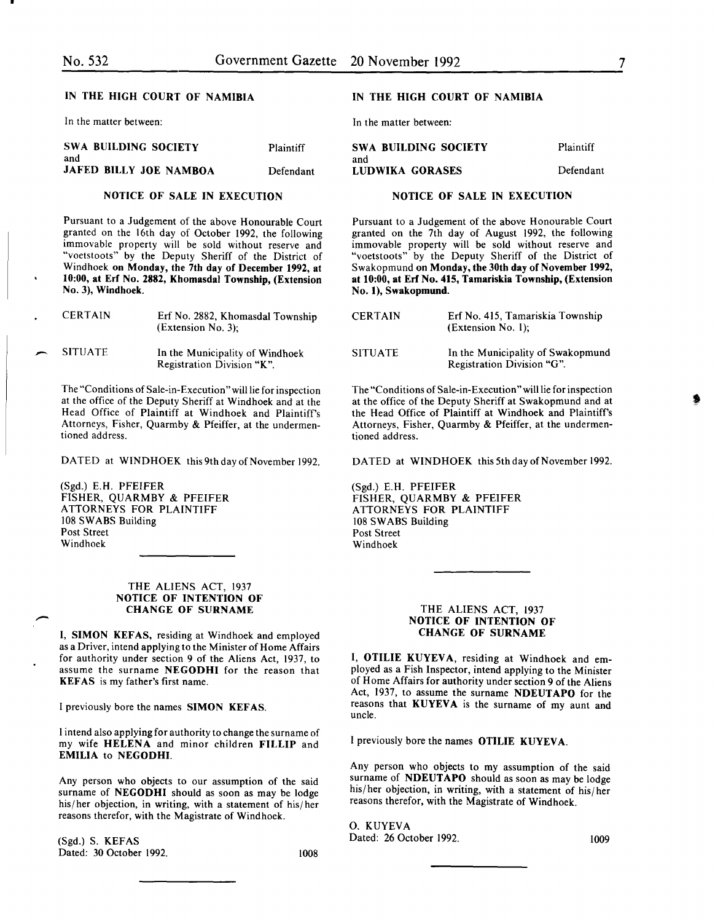# IN THE HIGH COURT OF NAMIBIA

In the matter between:

| SWA BUILDING SOCIETY          | <b>Plaintiff</b> | SWA BUILDING SOCIETY   | Plaintiff |
|-------------------------------|------------------|------------------------|-----------|
| and<br>JAFED BILLY JOE NAMBOA | Defendant        | and<br>LUDWIKA GORASES | Defendan  |

#### NOTICE OF SALE IN EXECUTION

Pursuant to a Judgement of the above Honourable Court granted on the 16th day of October 1992, the following immovable property will be sold without reserve and "voetstoots" by the Deputy Sheriff of the District of Windhoek on Monday, the 7th day of December 1992, at 10:00, at Erf No. 2882, Khomasdal Township, (Extension No. 3), Windhoek.

|               | <b>CERTAIN</b> | Erf No. 2882, Khomasdal Township<br>$(Extension No. 3)$ :     | <b>CERT</b>  |
|---------------|----------------|---------------------------------------------------------------|--------------|
| $\rightarrow$ | <b>SITUATE</b> | In the Municipality of Windhoek<br>Registration Division "K". | <b>SITUA</b> |

The "Conditions of Sale-in-Execution "will lie for inspection at the office of the Deputy Sheriff at Windhoek and at the Head Office of Plaintiff at Windhoek and Plaintiff's Attorneys, Fisher, Quarmby & Pfeiffer, at the undermentioned address.

DATED at WINDHOEK this 9th day of November 1992.

(Sgd.) E.H. PFEIFER FISHER, QUARMBY & PFEIFER ATTORNEYS FOR PLAINTIFF 108 SWABS Building Post Street Windhoek

#### THE ALIENS ACT, 1937 NOTICE OF INTENTION OF CHANGE OF SURNAME

I, SIMON KEFAS, residing at Windhoek and employed as a Driver, intend applying to the Minister of Home Affairs for authority under section 9 of the Aliens Act, 1937, to assume the surname NEGODHI for the reason that KEFAS is my father's first name.

I previously bore the names SIMON KEFAS.

l intend also applying for authority to change the surname of my wife HELENA and minor children FILLIP and EMILIA to NEGODHI.

Any person who objects to our assumption of the said surname of NEGODHI should as soon as may be lodge his/her objection, in writing, with a statement of his/her reasons therefor, with the Magistrate of Windhoek.

(Sgd.) S. KEFAS Dated: 30 October 1992. 1008

# IN THE HIGH COURT OF NAMIBIA

In the matter between:

| <b>SWA BUILDING SOCIETY</b> | Plaintiff |
|-----------------------------|-----------|
| and                         |           |
| LUDWIKA GORASES             | Defendant |

#### NOTICE OF SALE IN EXECUTION

Pursuant to a Judgement of the above Honourable Court granted on the 7th day of August 1992, the following immovable property will be sold without reserve and "voetstoots" by the Deputy Sheriff of the District of Swakopmund on Monday, the 30th day of November 1992, at 10:00, at Erf No. 415, Tamariskia Township, (Extension No.1), Swakopmund.

| <b>CERTAIN</b> | Erf No. 415, Tamariskia Township<br>$(Extension No. 1)$ :       |
|----------------|-----------------------------------------------------------------|
| <b>SITUATE</b> | In the Municipality of Swakopmund<br>Registration Division "G". |

The "Conditions of Sale-in-Execution" will lie for inspection at the office of the Deputy Sheriff at Swakopmund and at the Head Office of Plaintiff at Windhoek and Plaintiff's Attorneys, Fisher, Quarmby & Pfeiffer, at the undermentioned address.

DATED at WINDHOEK this 5th day of November 1992.

(Sgd.) E.H. PFEIFER FISHER, QUARMBY & PFEIFER ATTORNEYS FOR PLAINTIFF 108 SWABS Building Post Street Windhoek

#### THE ALIENS ACT, 1937 NOTICE OF INTENTION OF CHANGE OF SURNAME

I, OTILIE KUYEVA, residing at Windhoek and employed as a Fish Inspector, intend applying to the Minister of Home Affairs for authority under section 9 of the Aliens Act, 1937, to assume the surname NDEUTAPO for the reasons that KUYEVA is the surname of my aunt and uncle.

I previously bore the names OTILIE KUYEVA.

Any person who objects to my assumption of the said surname of NDEUTAPO should as soon as may be lodge his/her objection, in writing, with a statement of his/her reasons therefor, with the Magistrate of Windhoek.

0. KUYEVA Dated: 26 October 1992. 1009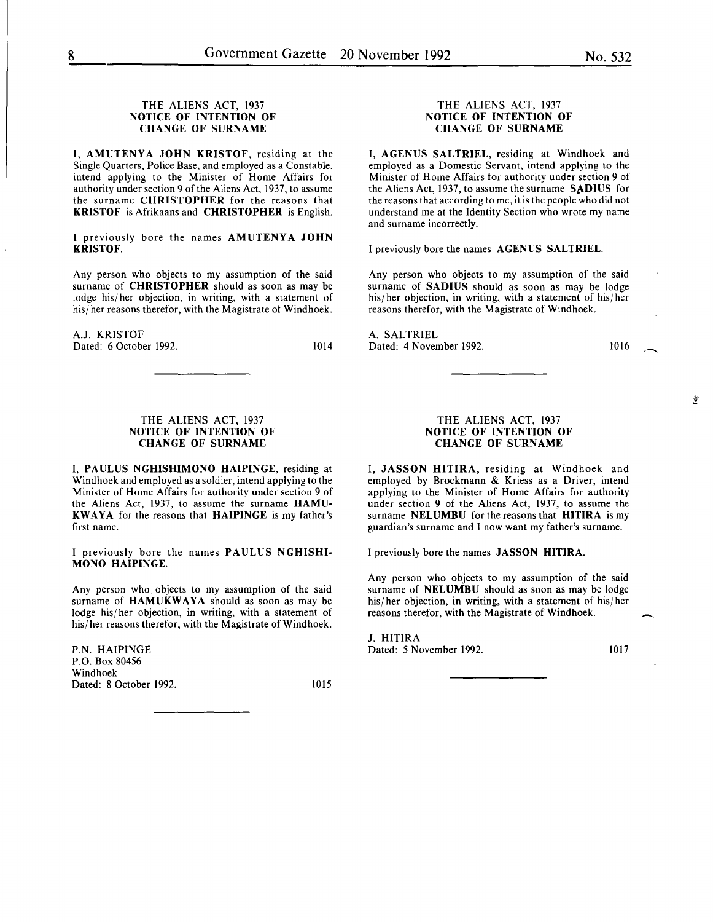# THE ALIENS ACT, 1937 NOTICE OF INTENTION OF CHANGE OF SURNAME

I, AMUTENYA JOHN KRISTOF, residing at the Single Quarters, Police Base, and employed as a Constable, intend applying to the Minister of Home Affairs for authority under section 9 of the Aliens Act, 1937, to assume the surname CHRISTOPHER for the reasons that KRISTOF is Afrikaans and CHRISTOPHER is English.

I previously bore the names AMUTENYA JOHN KRISTOF.

Any person who objects to my assumption of the said surname of CHRISTOPHER should as soon as may be lodge his/ her objection, in writing, with a statement of his/ her reasons therefor, with the Magistrate of Windhoek.

A.J. KRISTOF Dated: 6 October 1992. 1014

## THE ALIENS ACT, 1937 NOTICE OF INTENTION OF CHANGE OF SURNAME

I, PAULUS NGHISHIMONO HAIPINGE, residing at Windhoek and employed as a soldier, intend applying to the Minister of Home Affairs for authority under section 9 of the Aliens Act, 1937, to assume the surname HAMU-KWAYA for the reasons that HAIPINGE is my father's first name.

I previously bore the names PAULUS NGHISHI-MONO HAIPINGE.

Any person who. objects to my assumption of the said surname of HAMUKWAYA should as soon as may be lodge his/ her objection, in writing, with a statement of his/ her reasons therefor, with the Magistrate of Windhoek.

P.N. HAIPINGE P.O. Box 80456 Windhoek Dated: 8 October 1992. 1015

#### THE ALIENS ACT, 1937 NOTICE OF INTENTION OF CHANGE OF SURNAME

I, AGENUS SALTRIEL, residing at Windhoek and employed as a Domestic Servant, intend applying to the Minister of Home Affairs for authority under section 9 of the Aliens Act, 1937, to assume the surname SADIUS for the reasons that according to me, it is the people who did not understand me at the Identity Section who wrote my name and surname incorrectly.

I previously bore the names AGENUS SALTRIEL.

Any person who objects to my assumption of the said surname of SADIUS should as soon as may be lodge his/ her objection, in writing, with a statement of his/ her reasons therefor, with the Magistrate of Windhoek.

A. SALTRIEL Dated: 4 November 1992.

1016

#### THE ALIENS ACT, 1937 NOTICE OF INTENTION OF CHANGE OF SURNAME

I, JASSON HITIRA, residing at Windhoek and employed by Brockmann & Kriess as a Driver, intend applying to the Minister of Home Affairs for authority under section 9 of the Aliens Act, 1937, to assume the surname NELUMBU for the reasons that HITIRA is my guardian's surname and I now want my father's surname.

I previously bore the names JASSON HITIRA.

Any person who objects to my assumption of the said surname of **NELUMBU** should as soon as may be lodge his/her objection, in writing, with a statement of his/her reasons therefor, with the Magistrate of Windhoek.

J. HITIRA Dated: 5 November 1992. 1017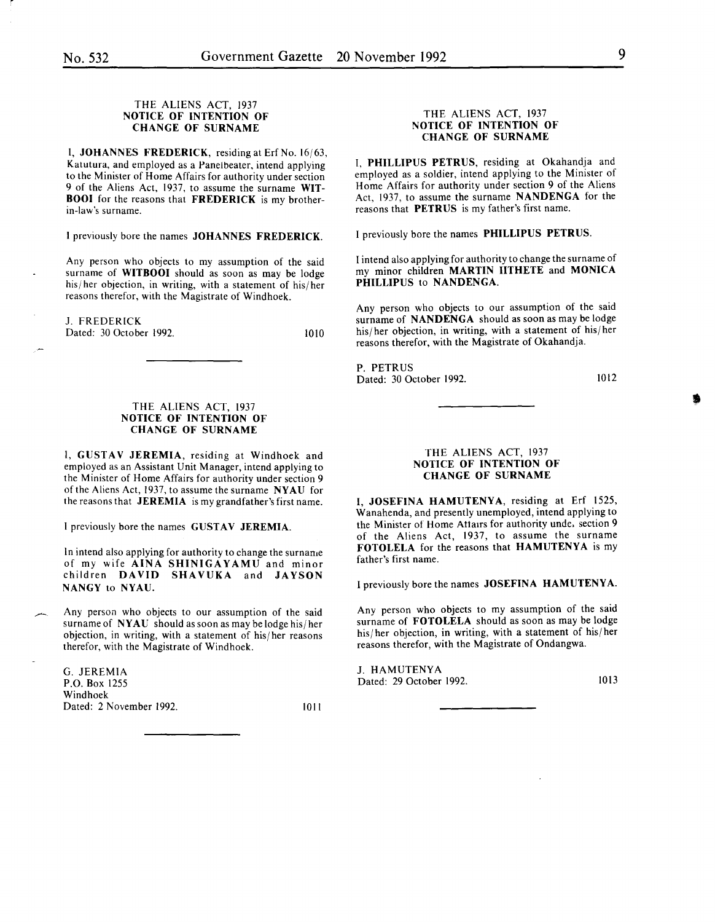1010

#### THE ALIENS ACT, 1937 NOTICE OF INTENTION OF CHANGE OF SURNAME

I, JOHANNES FREDERICK, residing at Erf No.  $16/63$ , Katutura, and employed as a Panelbeater, intend applying to the Minister of Home Affairs for authority under section 9 of the Aliens Act, 1937, to assume the surname WIT-**BOOI** for the reasons that FREDERICK is my brotherin-law's surname.

I previously bore the names JOHANNES FREDERICK.

Any person who objects to my assumption of the said surname of WITBOOI should as soon as may be lodge his/her objection, in writing, with a statement of his/her reasons therefor, with the Magistrate of Windhoek.

J. FREDERICK Dated: 30 October 1992.

#### THE ALIENS ACT, 1937 NOTICE OF INTENTION OF CHANGE OF SURNAME

I, GUSTAV JEREMIA, residing at Windhoek and employed as an Assistant Unit Manager, intend applying to the Minister of Home Affairs for authority under section 9 of the Aliens Act, 1937, to assume the surname NYAU for the reasons that JEREMIA is my grandfather's first name.

I previously bore the names GUSTAV JEREMIA.

In intend also applying for authority to change the surname of my wife AINA SHINIGAYAMU and minor children DAVID SHAVUKA and JAYSON NANGY to NYAU.

Any person who objects to our assumption of the said surname of NYAU should as soon as may be lodge his/her objection, in writing, with a statement of his/ her reasons therefor, with the Magistrate of Windhoek.

G. JEREMIA P.O. Box 1255 Windhoek Dated: 2 November 1992. 1011

#### THE ALIENS ACT, 1937 NOTICE OF INTENTION OF CHANGE OF SURNAME

I, PHILLIPUS PETRUS, residing at Okahandja and employed as a soldier, intend applying to the Minister of Home Affairs for authority under section 9 of the Aliens Act, 1937, to assume the surname NANDENGA for the reasons that PETRUS is my father's first name.

I previously bore the names PHILLIPUS PETRUS.

I intend also applying for authority to change the surname of my minor children MARTIN IITHETE and MONICA PHILLIPUS to NANDENGA.

Any person who objects to our assumption of the said surname of NANDENGA should as soon as may be lodge his/her objection, in writing, with a statement of his/her reasons therefor, with the Magistrate of Okahandja.

P. PETRUS Dated: 30 October 1992.

1012

•

#### THE ALIENS ACT, 1937 NOTICE OF INTENTION OF CHANGE OF SURNAME

I, JOSEFINA HAMUTENYA, residing at Erf 1525, Wanahenda, and presently unemployed, intend applying to the Minister of Home Attairs for authority unde. section 9 of the Aliens Act, 1937, to assume the surname FOTOLELA for the reasons that HAMUTENYA is my father's first name.

I previously bore the names JOSEFINA HAMUTENYA.

Any person who objects to my assumption of the said surname of FOTOLELA should as soon as may be lodge his/her objection, in writing, with a statement of his/her reasons therefor, with the Magistrate of Ondangwa.

J. HAMUTENY A Dated: 29 October 1992. 1013